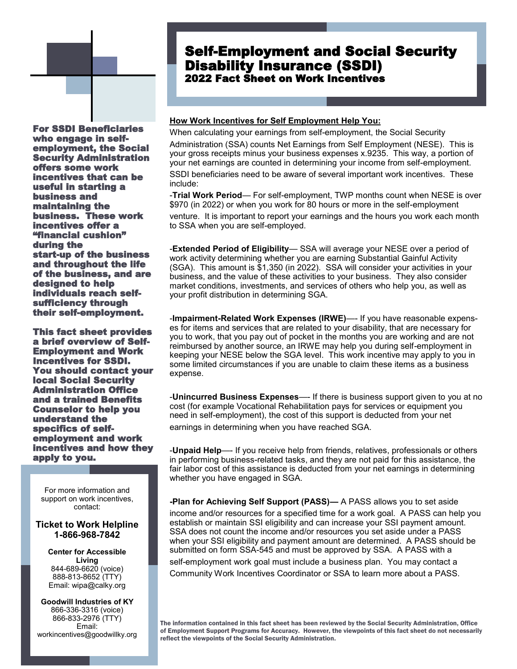# Self-Employment and Social Security Disability Insurance (SSDI) 2022 Fact Sheet on Work Incentives

For SSDI Beneficiaries who engage in selfemployment, the Social Security Administration offers some work incentives that can be useful in starting a business and maintaining the business. These work incentives offer a "financial cushion" during the start-up of the business and throughout the life of the business, and are designed to help individuals reach selfsufficiency through their self-employment.

This fact sheet provides a brief overview of Self-Employment and Work Incentives for SSDI. You should contact your local Social Security Administration Office and a trained Benefits Counselor to help you understand the specifics of selfemployment and work incentives and how they apply to you.

For more information and support on work incentives, contact:

## **Ticket to Work Helpline 1-866-968-7842**

**Center for Accessible Living** 844-689-6620 (voice) 888-813-8652 (TTY) Email: wipa@calky.org

**Goodwill Industries of KY** 866-336-3316 (voice) 866-833-2976 (TTY) Email: workincentives@goodwillky.org

#### **How Work Incentives for Self Employment Help You:**

When calculating your earnings from self-employment, the Social Security Administration (SSA) counts Net Earnings from Self Employment (NESE). This is your gross receipts minus your business expenses x.9235. This way, a portion of your net earnings are counted in determining your income from self-employment.

SSDI beneficiaries need to be aware of several important work incentives. These include:

-**Trial Work Period**— For self-employment, TWP months count when NESE is over \$970 (in 2022) or when you work for 80 hours or more in the self-employment

venture. It is important to report your earnings and the hours you work each month to SSA when you are self-employed.

-**Extended Period of Eligibility**— SSA will average your NESE over a period of work activity determining whether you are earning Substantial Gainful Activity (SGA). This amount is \$1,350 (in 2022). SSA will consider your activities in your business, and the value of these activities to your business. They also consider market conditions, investments, and services of others who help you, as well as your profit distribution in determining SGA.

-**Impairment-Related Work Expenses (IRWE)**—- If you have reasonable expenses for items and services that are related to your disability, that are necessary for you to work, that you pay out of pocket in the months you are working and are not reimbursed by another source, an IRWE may help you during self-employment in keeping your NESE below the SGA level. This work incentive may apply to you in some limited circumstances if you are unable to claim these items as a business expense.

-**Unincurred Business Expenses**—- If there is business support given to you at no cost (for example Vocational Rehabilitation pays for services or equipment you need in self-employment), the cost of this support is deducted from your net

earnings in determining when you have reached SGA.

-**Unpaid Help**—- If you receive help from friends, relatives, professionals or others in performing business-related tasks, and they are not paid for this assistance, the fair labor cost of this assistance is deducted from your net earnings in determining whether you have engaged in SGA.

**-Plan for Achieving Self Support (PASS)—** A PASS allows you to set aside income and/or resources for a specified time for a work goal. A PASS can help you establish or maintain SSI eligibility and can increase your SSI payment amount. SSA does not count the income and/or resources you set aside under a PASS when your SSI eligibility and payment amount are determined. A PASS should be submitted on form SSA-545 and must be approved by SSA. A PASS with a self-employment work goal must include a business plan. You may contact a Community Work Incentives Coordinator or SSA to learn more about a PASS.

The information contained in this fact sheet has been reviewed by the Social Security Administration, Office of Employment Support Programs for Accuracy. However, the viewpoints of this fact sheet do not necessarily reflect the viewpoints of the Social Security Administration.